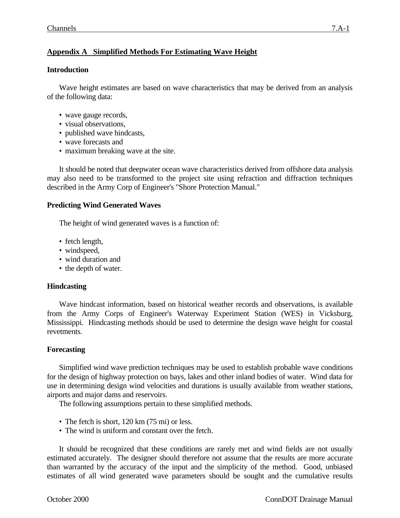# **Appendix A Simplified Methods For Estimating Wave Height**

# **Introduction**

Wave height estimates are based on wave characteristics that may be derived from an analysis of the following data:

- wave gauge records,
- visual observations.
- published wave hindcasts,
- wave forecasts and
- maximum breaking wave at the site.

It should be noted that deepwater ocean wave characteristics derived from offshore data analysis may also need to be transformed to the project site using refraction and diffraction techniques described in the Army Corp of Engineer's "Shore Protection Manual."

# **Predicting Wind Generated Waves**

The height of wind generated waves is a function of:

- fetch length,
- windspeed,
- wind duration and
- the depth of water.

### **Hindcasting**

Wave hindcast information, based on historical weather records and observations, is available from the Army Corps of Engineer's Waterway Experiment Station (WES) in Vicksburg, Mississippi. Hindcasting methods should be used to determine the design wave height for coastal revetments.

### **Forecasting**

Simplified wind wave prediction techniques may be used to establish probable wave conditions for the design of highway protection on bays, lakes and other inland bodies of water. Wind data for use in determining design wind velocities and durations is usually available from weather stations, airports and major dams and reservoirs.

The following assumptions pertain to these simplified methods.

- The fetch is short, 120 km (75 mi) or less.
- The wind is uniform and constant over the fetch.

It should be recognized that these conditions are rarely met and wind fields are not usually estimated accurately. The designer should therefore not assume that the results are more accurate than warranted by the accuracy of the input and the simplicity of the method. Good, unbiased estimates of all wind generated wave parameters should be sought and the cumulative results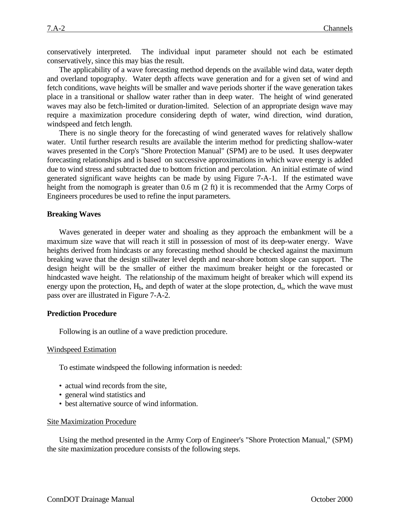conservatively interpreted. The individual input parameter should not each be estimated conservatively, since this may bias the result.

The applicability of a wave forecasting method depends on the available wind data, water depth and overland topography. Water depth affects wave generation and for a given set of wind and fetch conditions, wave heights will be smaller and wave periods shorter if the wave generation takes place in a transitional or shallow water rather than in deep water. The height of wind generated waves may also be fetch-limited or duration-limited. Selection of an appropriate design wave may require a maximization procedure considering depth of water, wind direction, wind duration, windspeed and fetch length.

There is no single theory for the forecasting of wind generated waves for relatively shallow water. Until further research results are available the interim method for predicting shallow-water waves presented in the Corp's "Shore Protection Manual" (SPM) are to be used. It uses deepwater forecasting relationships and is based on successive approximations in which wave energy is added due to wind stress and subtracted due to bottom friction and percolation. An initial estimate of wind generated significant wave heights can be made by using Figure 7-A-1. If the estimated wave height from the nomograph is greater than 0.6 m (2 ft) it is recommended that the Army Corps of Engineers procedures be used to refine the input parameters.

#### **Breaking Waves**

Waves generated in deeper water and shoaling as they approach the embankment will be a maximum size wave that will reach it still in possession of most of its deep-water energy. Wave heights derived from hindcasts or any forecasting method should be checked against the maximum breaking wave that the design stillwater level depth and near-shore bottom slope can support. The design height will be the smaller of either the maximum breaker height or the forecasted or hindcasted wave height. The relationship of the maximum height of breaker which will expend its energy upon the protection,  $H_b$ , and depth of water at the slope protection,  $d_s$ , which the wave must pass over are illustrated in Figure 7-A-2.

#### **Prediction Procedure**

Following is an outline of a wave prediction procedure.

#### Windspeed Estimation

To estimate windspeed the following information is needed:

- actual wind records from the site,
- general wind statistics and
- best alternative source of wind information.

#### Site Maximization Procedure

Using the method presented in the Army Corp of Engineer's "Shore Protection Manual," (SPM) the site maximization procedure consists of the following steps.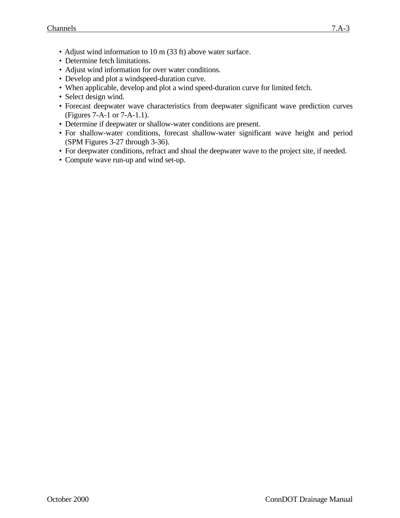- Adjust wind information to 10 m (33 ft) above water surface.
- Determine fetch limitations.
- Adjust wind information for over water conditions.
- Develop and plot a windspeed-duration curve.
- When applicable, develop and plot a wind speed-duration curve for limited fetch.
- Select design wind.
- Forecast deepwater wave characteristics from deepwater significant wave prediction curves (Figures 7-A-1 or 7-A-1.1).
- Determine if deepwater or shallow-water conditions are present.
- For shallow-water conditions, forecast shallow-water significant wave height and period (SPM Figures 3-27 through 3-36).
- For deepwater conditions, refract and shoal the deepwater wave to the project site, if needed.
- Compute wave run-up and wind set-up.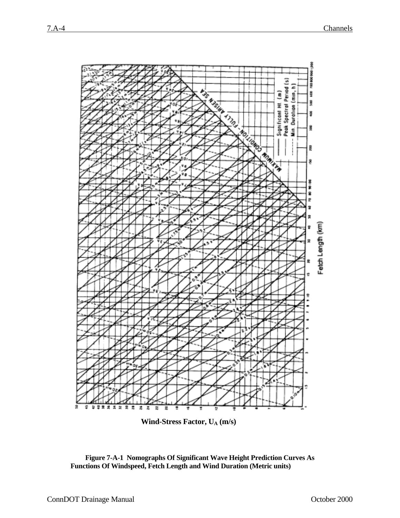

Wind-Stress Factor, U<sub>A</sub> (m/s)

**Figure 7-A-1 Nomographs Of Significant Wave Height Prediction Curves As Functions Of Windspeed, Fetch Length and Wind Duration (Metric units)**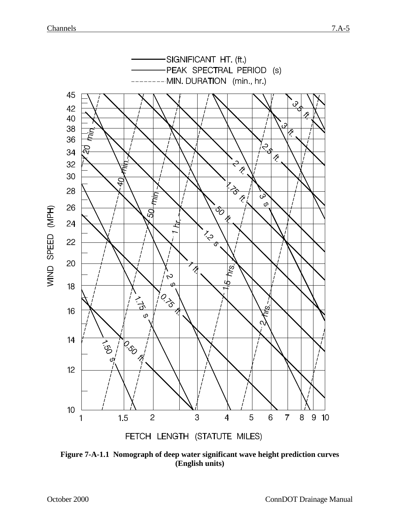

**Figure 7-A-1.1 Nomograph of deep water significant wave height prediction curves (English units)**